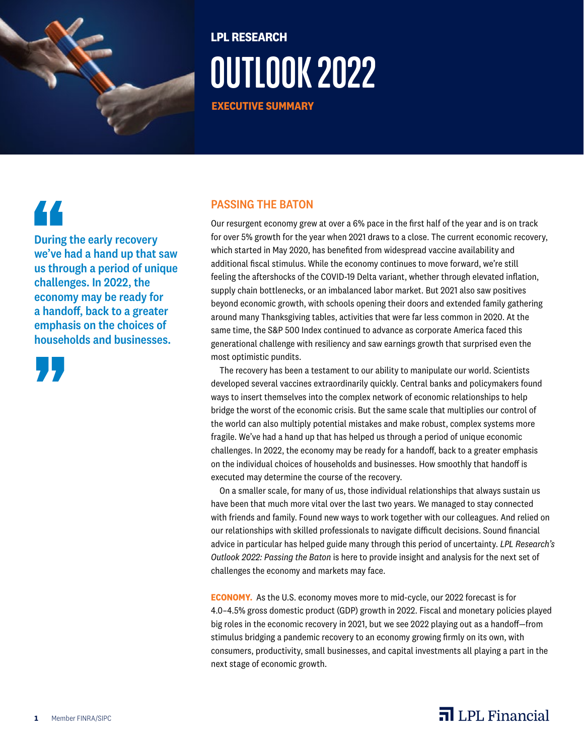

## **LPL RESEARCH OUTLOOK 2022**

**EXECUTIVE SUMMARY**

# 44

During the early recovery we've had a hand up that saw us through a period of unique challenges. In 2022, the economy may be ready for a handoff, back to a greater emphasis on the choices of households and businesses.



## PASSING THE BATON

Our resurgent economy grew at over a 6% pace in the first half of the year and is on track for over 5% growth for the year when 2021 draws to a close. The current economic recovery, which started in May 2020, has benefited from widespread vaccine availability and additional fiscal stimulus. While the economy continues to move forward, we're still feeling the aftershocks of the COVID-19 Delta variant, whether through elevated inflation, supply chain bottlenecks, or an imbalanced labor market. But 2021 also saw positives beyond economic growth, with schools opening their doors and extended family gathering around many Thanksgiving tables, activities that were far less common in 2020. At the same time, the S&P 500 Index continued to advance as corporate America faced this generational challenge with resiliency and saw earnings growth that surprised even the most optimistic pundits.

The recovery has been a testament to our ability to manipulate our world. Scientists developed several vaccines extraordinarily quickly. Central banks and policymakers found ways to insert themselves into the complex network of economic relationships to help bridge the worst of the economic crisis. But the same scale that multiplies our control of the world can also multiply potential mistakes and make robust, complex systems more fragile. We've had a hand up that has helped us through a period of unique economic challenges. In 2022, the economy may be ready for a handoff, back to a greater emphasis on the individual choices of households and businesses. How smoothly that handoff is executed may determine the course of the recovery.

On a smaller scale, for many of us, those individual relationships that always sustain us have been that much more vital over the last two years. We managed to stay connected with friends and family. Found new ways to work together with our colleagues. And relied on our relationships with skilled professionals to navigate difficult decisions. Sound financial advice in particular has helped guide many through this period of uncertainty. *LPL Research's Outlook 2022: Passing the Baton* is here to provide insight and analysis for the next set of challenges the economy and markets may face.

**ECONOMY.** As the U.S. economy moves more to mid-cycle, our 2022 forecast is for 4.0–4.5% gross domestic product (GDP) growth in 2022. Fiscal and monetary policies played big roles in the economic recovery in 2021, but we see 2022 playing out as a handoff—from stimulus bridging a pandemic recovery to an economy growing firmly on its own, with consumers, productivity, small businesses, and capital investments all playing a part in the next stage of economic growth.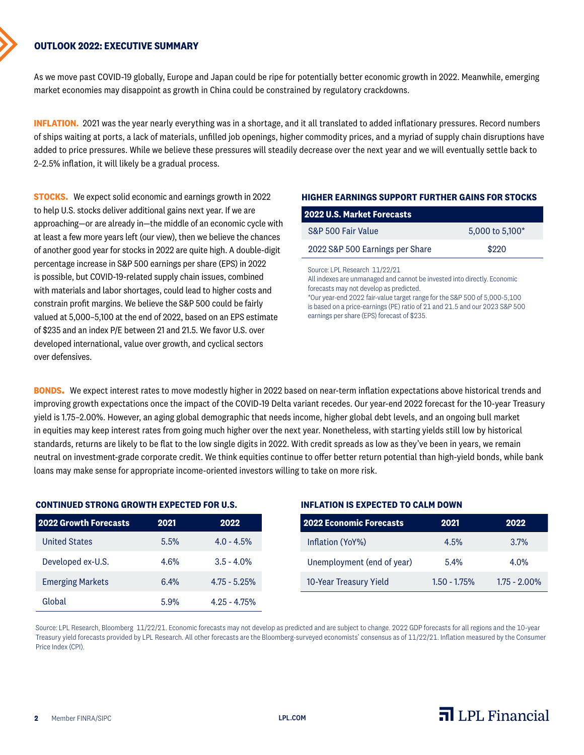## **OUTLOOK 2022: EXECUTIVE SUMMARY**

As we move past COVID-19 globally, Europe and Japan could be ripe for potentially better economic growth in 2022. Meanwhile, emerging market economies may disappoint as growth in China could be constrained by regulatory crackdowns.

**INFLATION.** 2021 was the year nearly everything was in a shortage, and it all translated to added inflationary pressures. Record numbers of ships waiting at ports, a lack of materials, unfilled job openings, higher commodity prices, and a myriad of supply chain disruptions have added to price pressures. While we believe these pressures will steadily decrease over the next year and we will eventually settle back to 2–2.5% inflation, it will likely be a gradual process.

**STOCKS**. We expect solid economic and earnings growth in 2022 to help U.S. stocks deliver additional gains next year. If we are approaching—or are already in—the middle of an economic cycle with at least a few more years left (our view), then we believe the chances of another good year for stocks in 2022 are quite high. A double-digit percentage increase in S&P 500 earnings per share (EPS) in 2022 is possible, but COVID-19-related supply chain issues, combined with materials and labor shortages, could lead to higher costs and constrain profit margins. We believe the S&P 500 could be fairly valued at 5,000–5,100 at the end of 2022, based on an EPS estimate of \$235 and an index P/E between 21 and 21.5. We favor U.S. over developed international, value over growth, and cyclical sectors over defensives.

#### **HIGHER EARNINGS SUPPORT FURTHER GAINS FOR STOCKS**

| <b>2022 U.S. Market Forecasts</b> |                 |
|-----------------------------------|-----------------|
| S&P 500 Fair Value                | 5,000 to 5,100* |
| 2022 S&P 500 Earnings per Share   | \$220           |
| Source: I PL Research 11/99/91    |                 |

All indexes are unmanaged and cannot be invested into directly. Economic forecasts may not develop as predicted. \*Our year-end 2022 fair-value target range for the S&P 500 of 5,000-5,100

is based on a price-earnings (PE) ratio of 21 and 21.5 and our 2023 S&P 500 earnings per share (EPS) forecast of \$235.

**BONDS.** We expect interest rates to move modestly higher in 2022 based on near-term inflation expectations above historical trends and improving growth expectations once the impact of the COVID-19 Delta variant recedes. Our year-end 2022 forecast for the 10-year Treasury yield is 1.75–2.00%. However, an aging global demographic that needs income, higher global debt levels, and an ongoing bull market in equities may keep interest rates from going much higher over the next year. Nonetheless, with starting yields still low by historical standards, returns are likely to be flat to the low single digits in 2022. With credit spreads as low as they've been in years, we remain neutral on investment-grade corporate credit. We think equities continue to offer better return potential than high-yield bonds, while bank loans may make sense for appropriate income-oriented investors willing to take on more risk.

#### **CONTINUED STRONG GROWTH EXPECTED FOR U.S.**

| <b>2022 Growth Forecasts</b> | 2021 | 2022           |
|------------------------------|------|----------------|
| <b>United States</b>         | 5.5% | $4.0 - 4.5%$   |
| Developed ex-U.S.            | 4.6% | $3.5 - 4.0%$   |
| <b>Emerging Markets</b>      | 6.4% | $4.75 - 5.25%$ |
| Global                       | 5.9% | 4 25 - 4 75%   |

### **INFLATION IS EXPECTED TO CALM DOWN**

| <b>2022 Economic Forecasts</b> | 2021           | 2022             |
|--------------------------------|----------------|------------------|
| Inflation (YoY%)               | 4.5%           | 3.7%             |
| Unemployment (end of year)     | 5.4%           | 4 0 <sub>%</sub> |
| 10-Year Treasury Yield         | $1.50 - 1.75%$ | $1.75 - 2.00\%$  |

Source: LPL Research, Bloomberg 11/22/21. Economic forecasts may not develop as predicted and are subject to change. 2022 GDP forecasts for all regions and the 10-year Treasury yield forecasts provided by LPL Research. All other forecasts are the Bloomberg-surveyed economists' consensus as of 11/22/21. Inflation measured by the Consumer Price Index (CPI).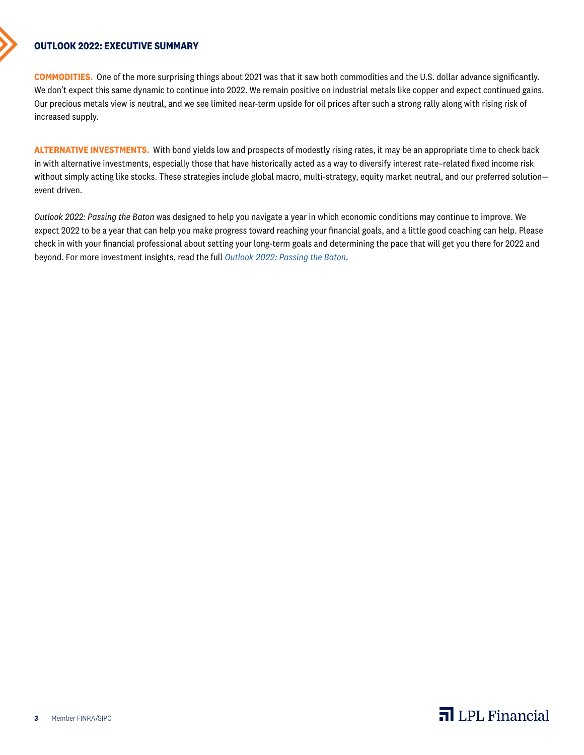## **OUTLOOK 2022: EXECUTIVE SUMMARY**

**COMMODITIES.** One of the more surprising things about 2021 was that it saw both commodities and the U.S. dollar advance significantly. We don't expect this same dynamic to continue into 2022. We remain positive on industrial metals like copper and expect continued gains. Our precious metals view is neutral, and we see limited near-term upside for oil prices after such a strong rally along with rising risk of increased supply.

**ALTERNATIVE INVESTMENTS.** With bond yields low and prospects of modestly rising rates, it may be an appropriate time to check back in with alternative investments, especially those that have historically acted as a way to diversify interest rate–related fixed income risk without simply acting like stocks. These strategies include global macro, multi-strategy, equity market neutral, and our preferred solution event driven.

*Outlook 2022: Passing the Baton* was designed to help you navigate a year in which economic conditions may continue to improve. We expect 2022 to be a year that can help you make progress toward reaching your financial goals, and a little good coaching can help. Please check in with your financial professional about setting your long-term goals and determining the pace that will get you there for 2022 and beyond. For more investment insights, read the full *[Outlook 2022: Passing the Baton](https://view.ceros.com/lpl/outlook2022)*.

## $\overline{\mathbf{a}}$  LPL Financial